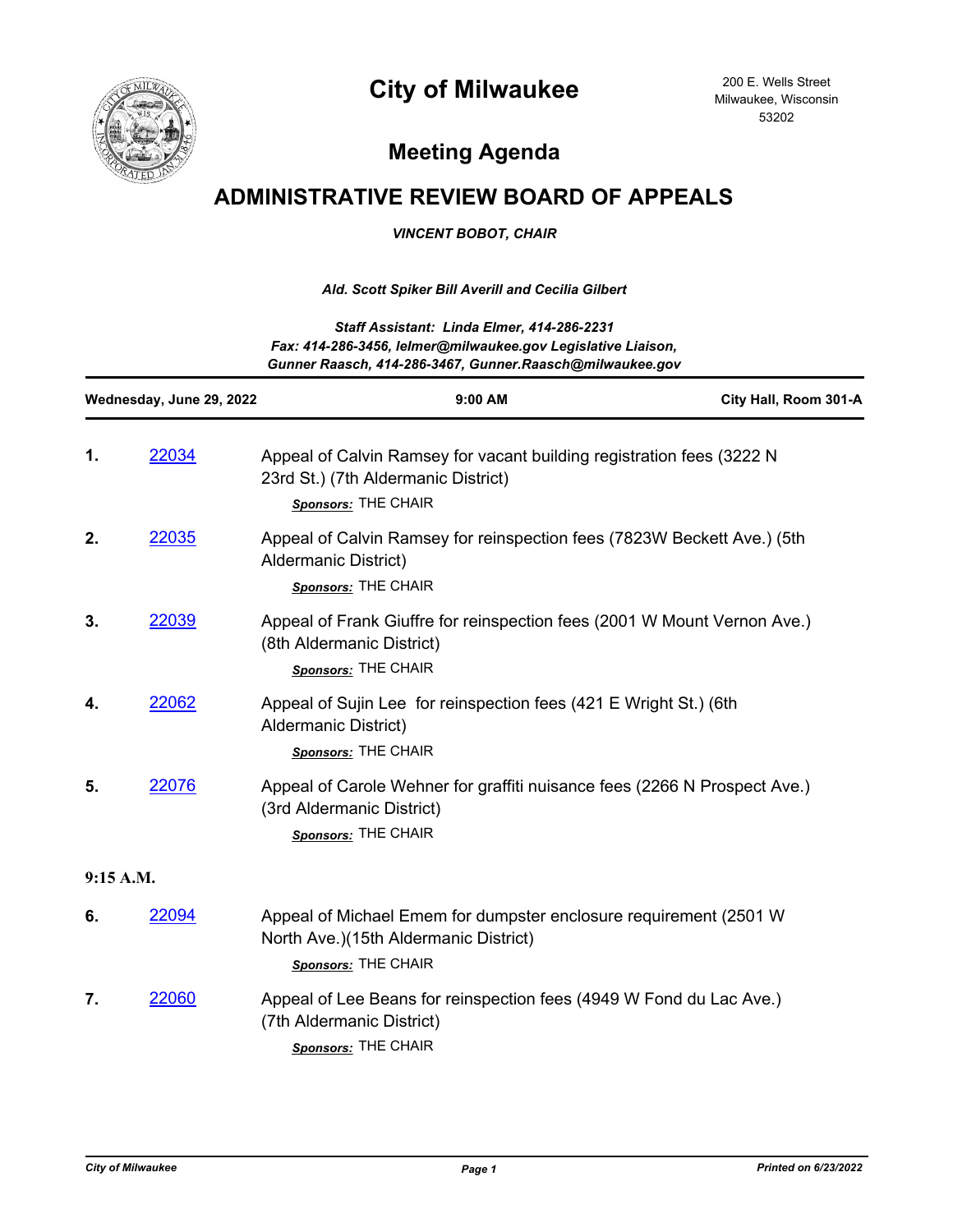



200 E. Wells Street Milwaukee, Wisconsin 53202

## **Meeting Agenda**

## **ADMINISTRATIVE REVIEW BOARD OF APPEALS**

*VINCENT BOBOT, CHAIR*

## *Ald. Scott Spiker Bill Averill and Cecilia Gilbert*

| Staff Assistant: Linda Elmer, 414-286-2231                   |
|--------------------------------------------------------------|
| Fax: 414-286-3456, lelmer@milwaukee.gov Legislative Liaison, |
| Gunner Raasch, 414-286-3467, Gunner Raasch@milwaukee.gov     |

| Wednesday, June 29, 2022 |       | 9:00 AM                                                                                                                             | City Hall, Room 301-A |
|--------------------------|-------|-------------------------------------------------------------------------------------------------------------------------------------|-----------------------|
| 1.                       | 22034 | Appeal of Calvin Ramsey for vacant building registration fees (3222 N<br>23rd St.) (7th Aldermanic District)<br>Sponsors: THE CHAIR |                       |
| 2.                       | 22035 | Appeal of Calvin Ramsey for reinspection fees (7823W Beckett Ave.) (5th<br><b>Aldermanic District)</b><br>Sponsors: THE CHAIR       |                       |
| 3.                       | 22039 | Appeal of Frank Giuffre for reinspection fees (2001 W Mount Vernon Ave.)<br>(8th Aldermanic District)<br>Sponsors: THE CHAIR        |                       |
| 4.                       | 22062 | Appeal of Sujin Lee for reinspection fees (421 E Wright St.) (6th<br><b>Aldermanic District)</b><br>Sponsors: THE CHAIR             |                       |
| 5.                       | 22076 | Appeal of Carole Wehner for graffiti nuisance fees (2266 N Prospect Ave.)<br>(3rd Aldermanic District)<br>Sponsors: THE CHAIR       |                       |
| 9:15 A.M.                |       |                                                                                                                                     |                       |
| 6.                       | 22094 | Appeal of Michael Emem for dumpster enclosure requirement (2501 W)<br>North Ave.)(15th Aldermanic District)<br>Sponsors: THE CHAIR  |                       |
| 7.                       | 22060 | Appeal of Lee Beans for reinspection fees (4949 W Fond du Lac Ave.)<br>(7th Aldermanic District)<br>Sponsors: THE CHAIR             |                       |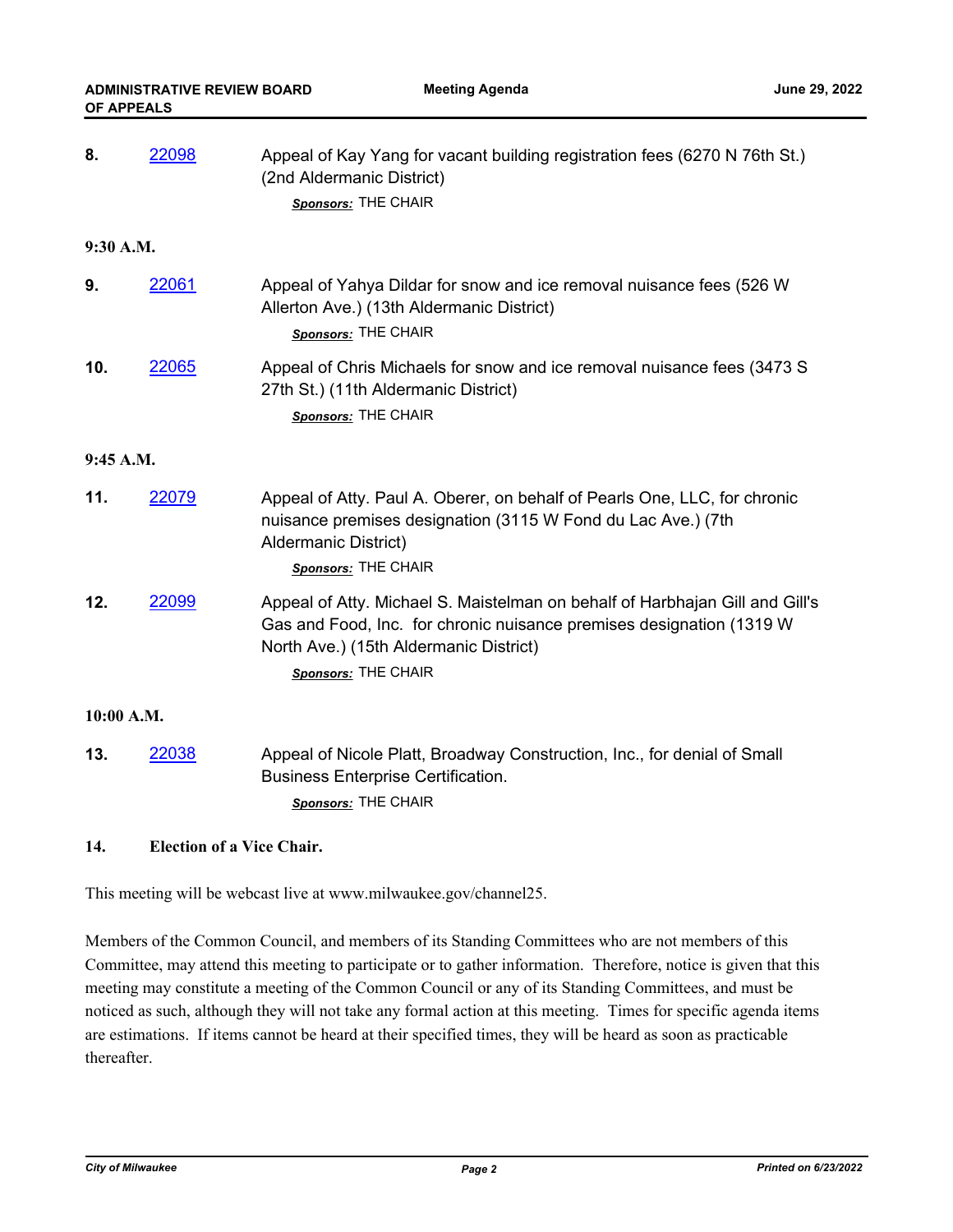| 8.         | 22098 | Appeal of Kay Yang for vacant building registration fees (6270 N 76th St.)<br>(2nd Aldermanic District)<br>Sponsors: THE CHAIR                                                                                         |  |  |
|------------|-------|------------------------------------------------------------------------------------------------------------------------------------------------------------------------------------------------------------------------|--|--|
| 9:30 A.M.  |       |                                                                                                                                                                                                                        |  |  |
| 9.         | 22061 | Appeal of Yahya Dildar for snow and ice removal nuisance fees (526 W)<br>Allerton Ave.) (13th Aldermanic District)<br>Sponsors: THE CHAIR                                                                              |  |  |
| 10.        | 22065 | Appeal of Chris Michaels for snow and ice removal nuisance fees (3473 S)<br>27th St.) (11th Aldermanic District)<br>Sponsors: THE CHAIR                                                                                |  |  |
| 9:45 A.M.  |       |                                                                                                                                                                                                                        |  |  |
| 11.        | 22079 | Appeal of Atty. Paul A. Oberer, on behalf of Pearls One, LLC, for chronic<br>nuisance premises designation (3115 W Fond du Lac Ave.) (7th<br>Aldermanic District)<br>Sponsors: THE CHAIR                               |  |  |
| 12.        | 22099 | Appeal of Atty. Michael S. Maistelman on behalf of Harbhajan Gill and Gill's<br>Gas and Food, Inc. for chronic nuisance premises designation (1319 W)<br>North Ave.) (15th Aldermanic District)<br>Sponsors: THE CHAIR |  |  |
| 10:00 A.M. |       |                                                                                                                                                                                                                        |  |  |
| 13.        | 22038 | Appeal of Nicole Platt, Broadway Construction, Inc., for denial of Small<br><b>Business Enterprise Certification.</b><br>Sponsors: THE CHAIR                                                                           |  |  |

## **14. Election of a Vice Chair.**

This meeting will be webcast live at www.milwaukee.gov/channel25.

Members of the Common Council, and members of its Standing Committees who are not members of this Committee, may attend this meeting to participate or to gather information. Therefore, notice is given that this meeting may constitute a meeting of the Common Council or any of its Standing Committees, and must be noticed as such, although they will not take any formal action at this meeting. Times for specific agenda items are estimations. If items cannot be heard at their specified times, they will be heard as soon as practicable thereafter.